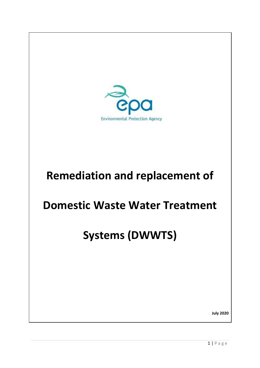

## **Remediation and replacement of**

### **Domestic Waste Water Treatment**

# **Systems (DWWTS)**

**July 2020**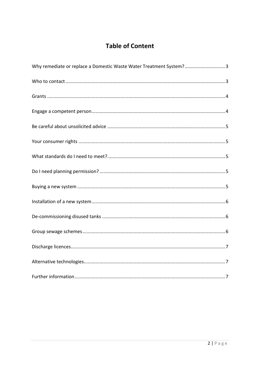### **Table of Content**

| Why remediate or replace a Domestic Waste Water Treatment System?3 |
|--------------------------------------------------------------------|
|                                                                    |
|                                                                    |
|                                                                    |
|                                                                    |
|                                                                    |
|                                                                    |
|                                                                    |
|                                                                    |
|                                                                    |
|                                                                    |
|                                                                    |
|                                                                    |
|                                                                    |
|                                                                    |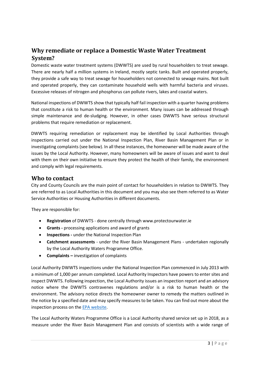#### <span id="page-2-0"></span>**Why remediate or replace a Domestic Waste Water Treatment System?**

Domestic waste water treatment systems (DWWTS) are used by rural householders to treat sewage. There are nearly half a million systems in Ireland, mostly septic tanks. Built and operated properly, they provide a safe way to treat sewage for householders not connected to sewage mains. Not built and operated properly, they can contaminate household wells with harmful bacteria and viruses. Excessive releases of nitrogen and phosphorus can pollute rivers, lakes and coastal waters.

National inspections of DWWTS show that typically half fail inspection with a quarter having problems that constitute a risk to human health or the environment. Many issues can be addressed through simple maintenance and de-sludging. However, in other cases DWWTS have serious structural problems that require remediation or replacement.

DWWTS requiring remediation or replacement may be identified by Local Authorities through inspections carried out under the National Inspection Plan, River Basin Management Plan or in investigating complaints (see below). In all these instances, the homeowner will be made aware of the issues by the Local Authority. However, many homeowners will be aware of issues and want to deal with them on their own initiative to ensure they protect the health of their family, the environment and comply with legal requirements.

#### <span id="page-2-1"></span>**Who to contact**

City and County Councils are the main point of contact for householders in relation to DWWTS. They are referred to as Local Authorities in this document and you may also see them referred to as Water Service Authorities or Housing Authorities in different documents.

They are responsible for:

- **Registration** of DWWTS done centrally through www.protectourwater.ie
- **Grants -** processing applications and award of grants
- **Inspections -** under the National Inspection Plan
- **Catchment assessments** under the River Basin Management Plans undertaken regionally by the Local Authority Waters Programme Office.
- **Complaints –** investigation of complaints

Local Authority DWWTS inspections under the National Inspection Plan commenced in July 2013 with a minimum of 1,000 per annum completed. Local Authority Inspectors have powers to enter sites and inspect DWWTS. Following inspection, the Local Authority issues an inspection report and an advisory notice where the DWWTS contravenes regulations and/or is a risk to human health or the environment. The advisory notice directs the homeowner owner to remedy the matters outlined in the notice by a specified date and may specify measures to be taken. You can find out more about the inspection process on th[e EPA website.](http://www.epa.ie/water/wastewater/guidance/whattoexpectfromaninspection/)

The Local Authority Waters Programme Office is a Local Authority shared service set up in 2018, as a measure under the River Basin Management Plan and consists of scientists with a wide range of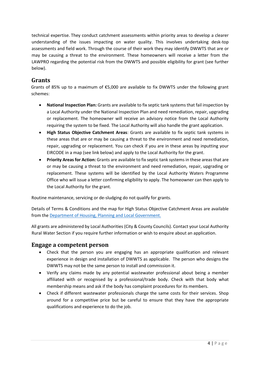technical expertise. They conduct catchment assessments within priority areas to develop a clearer understanding of the issues impacting on water quality. This involves undertaking desk-top assessments and field work. Through the course of their work they may identify DWWTS that are or may be causing a threat to the environment. These homeowners will receive a letter from the LAWPRO regarding the potential risk from the DWWTS and possible eligibility for grant (see further below).

#### <span id="page-3-0"></span>**Grants**

Grants of 85% up to a maximum of €5,000 are available to fix DWWTS under the following grant schemes:

- **National Inspection Plan:** Grants are available to fix septic tank systems that fail inspection by a Local Authority under the National Inspection Plan and need remediation, repair, upgrading or replacement. The homeowner will receive an advisory notice from the Local Authority requiring the system to be fixed. The Local Authority will also handle the grant application.
- **High Status Objective Catchment Areas**: Grants are available to fix septic tank systems in these areas that are or may be causing a threat to the environment and need remediation, repair, upgrading or replacement. You can check if you are in these areas by inputting your EIRCODE in a map (see link below) and apply to the Local Authority for the grant.
- **Priority Areas for Action:** Grants are available to fix septic tank systems in these areas that are or may be causing a threat to the environment and need remediation, repair, upgrading or replacement. These systems will be identified by the Local Authority Waters Programme Office who will issue a letter confirming eligibility to apply. The homeowner can then apply to the Local Authority for the grant.

Routine maintenance, servicing or de-sludging do not qualify for grants.

Details of Terms & Conditions and the map for High Status Objective Catchment Areas are available from th[e Department of Housing, Planning and Local Government.](https://www.housing.gov.ie/water/water-quality/domestic-waste-water-systemsseptic-tanks/domestic-waste-water-treatment-1)

All grants are administered by Local Authorities (City & County Councils). Contact your Local Authority Rural Water Section if you require further information or wish to enquire about an application.

#### <span id="page-3-1"></span>**Engage a competent person**

- Check that the person you are engaging has an appropriate qualification and relevant experience in design and installation of DWWTS as applicable. The person who designs the DWWTS may not be the same person to install and commission it.
- Verify any claims made by any potential wastewater professional about being a member affiliated with or recognised by a professional/trade body. Check with that body what membership means and ask if the body has complaint procedures for its members.
- Check if different wastewater professionals charge the same costs for their services. Shop around for a competitive price but be careful to ensure that they have the appropriate qualifications and experience to do the job.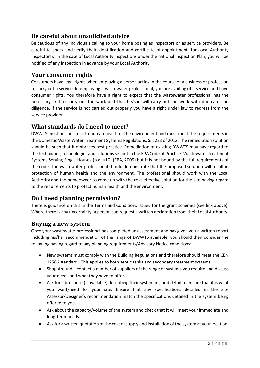#### <span id="page-4-0"></span>**Be careful about unsolicited advice**

Be cautious of any individuals calling to your home posing as inspectors or as service providers. Be careful to check and verify their identification and certificate of appointment (for Local Authority inspectors). In the case of Local Authority inspections under the national Inspection Plan, you will be notified of any inspection in advance by your Local Authority.

#### <span id="page-4-1"></span>**Your consumer rights**

Consumers have legal rights when employing a person acting in the course of a business or profession to carry out a service. In employing a wastewater professional, you are availing of a service and have consumer rights. You therefore have a right to expect that the wastewater professional has the necessary skill to carry out the work and that he/she will carry out the work with due care and diligence. If the service is not carried out properly you have a right under law to redress from the service provider.

#### <span id="page-4-2"></span>**What standards do I need to meet?**

DWWTS must not be a risk to human health or the environment and must meet the requirements in the Domestic Waste Water Treatment Systems Regulations, S.I. 223 of 2012. The remediation solution should be such that it embraces best practice. Remediation of existing DWWTS may have regard to the techniques, technologies and solutions set out in the EPA Code of Practice: Wastewater Treatment Systems Serving Single Houses (p.e. <10) (EPA, 2009) but it is not bound by the full requirements of the code. The wastewater professional should demonstrate that the proposed solution will result in protection of human health and the environment. The professional should work with the Local Authority and the homeowner to come up with the cost-effective solution for the site having regard to the requirements to protect human health and the environment.

#### <span id="page-4-3"></span>**Do I need planning permission?**

There is guidance on this in the Terms and Conditions issued for the grant schemes (see link above). Where there is any uncertainty, a person can request a written declaration from their Local Authority.

#### <span id="page-4-4"></span>**Buying a new system**

Once your wastewater professional has completed an assessment and has given you a written report including his/her recommendation of the range of DWWTS available, you should then consider the following having regard to any planning requirements/Advisory Notice conditions:

- New systems must comply with the Building Regulations and therefore should meet the CEN 12566 standard. This applies to both septic tanks and secondary treatment systems.
- Shop Around contact a number of suppliers of the range of systems you require and discuss your needs and what they have to offer.
- Ask for a brochure (if available) describing their system in good detail to ensure that it is what you want/need for your site. Ensure that any specifications detailed in the Site Assessor/Designer's recommendation match the specifications detailed in the system being offered to you.
- Ask about the capacity/volume of the system and check that it will meet your immediate and long-term needs.
- Ask for a written quotation of the cost of supply and installation of the system at your location.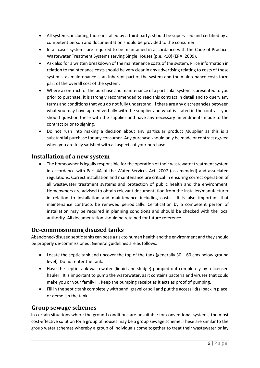- All systems, including those installed by a third party, should be supervised and certified by a competent person and documentation should be provided to the consumer.
- In all cases systems are required to be maintained in accordance with the Code of Practice: Wastewater Treatment Systems serving Single Houses (p.e. <10) (EPA, 2009).
- Ask also for a written breakdown of the maintenance costs of the system. Price information in relation to maintenance costs should be very clear in any advertising relating to costs of these systems, as maintenance is an inherent part of the system and the maintenance costs form part of the overall cost of the system.
- Where a contract for the purchase and maintenance of a particular system is presented to you prior to purchase, it is strongly recommended to read this contract in detail and to query any terms and conditions that you do not fully understand. If there are any discrepancies between what you may have agreed verbally with the supplier and what is stated in the contract you should question these with the supplier and have any necessary amendments made to the contract prior to signing.
- Do not rush into making a decision about any particular product /supplier as this is a substantial purchase for any consumer. Any purchase should only be made or contract agreed when you are fully satisfied with all aspects of your purchase.

#### <span id="page-5-0"></span>**Installation of a new system**

• The homeowner is legally responsible for the operation of their wastewater treatment system in accordance with Part 4A of the Water Services Act, 2007 (as amended) and associated regulations. Correct installation and maintenance are critical in ensuring correct operation of all wastewater treatment systems and protection of public health and the environment. Homeowners are advised to obtain relevant documentation from the installer/manufacturer in relation to installation and maintenance including costs. It is also important that maintenance contracts be renewed periodically. Certification by a competent person of installation may be required in planning conditions and should be checked with the local authority. All documentation should be retained for future reference.

#### <span id="page-5-1"></span>**De-commissioning disused tanks**

Abandoned/disused septic tanks can pose a risk to human health and the environment and they should be properly de-commissioned. General guidelines are as follows:

- Locate the septic tank and uncover the top of the tank (generally 30 60 cms below ground level). Do not enter the tank.
- Have the septic tank wastewater (liquid and sludge) pumped out completely by a licensed hauler. It is important to pump the wastewater, as it contains bacteria and viruses that could make you or your family ill. Keep the pumping receipt as it acts as proof of pumping.
- Fill in the septic tank completely with sand, gravel or soil and put the access lid(s) back in place, or demolish the tank.

#### <span id="page-5-2"></span>**Group sewage schemes**

In certain situations where the ground conditions are unsuitable for conventional systems, the most cost-effective solution for a group of houses may be a group sewage scheme. These are similar to the group water schemes whereby a group of individuals come together to treat their wastewater or lay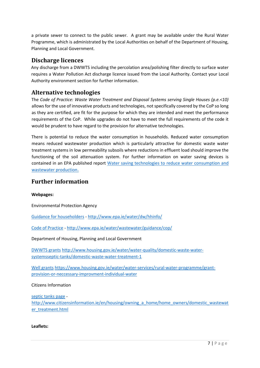a private sewer to connect to the public sewer. A grant may be available under the Rural Water Programme, which is administrated by the Local Authorities on behalf of the Department of Housing, Planning and Local Government.

#### <span id="page-6-0"></span>**Discharge licences**

Any discharge from a DWWTS including the percolation area/polishing filter directly to surface water requires a Water Pollution Act discharge licence issued from the Local Authority. Contact your Local Authority environment section for further information.

#### <span id="page-6-1"></span>**Alternative technologies**

The *Code of Practice: Waste Water Treatment and Disposal Systems serving Single Houses (p.e.<10)* allows for the use of innovative products and technologies, not specifically covered by the CoP so long as they are certified, are fit for the purpose for which they are intended and meet the performance requirements of the CoP. While upgrades do not have to meet the full requirements of the code it would be prudent to have regard to the provision for alternative technologies.

There is potential to reduce the water consumption in households. Reduced water consumption means reduced wastewater production which is particularly attractive for domestic waste water treatment systems in low permeability subsoils where reductions in effluent load should improve the functioning of the soil attenuation system. For further information on water saving devices is contained in an EPA published report [Water saving technologies to reduce water consumption and](http://www.epa.ie/pubs/reports/research/water/STRIVE_108_Water%20saving%20technologies....pdf)  [wastewater production](http://www.epa.ie/pubs/reports/research/water/STRIVE_108_Water%20saving%20technologies....pdf).

#### <span id="page-6-2"></span>**Further information**

**Webpages:**

Environmental Protection Agency

[Guidance for householders](file:///C:/Users/MargaretKeegan/AppData/Local/Microsoft/Windows/INetCache/Content.Outlook/I77LDBEL/Guidance%20for%20householders) - <http://www.epa.ie/water/dw/hhinfo/>

[Code of Practice](http://www.epa.ie/water/wastewater/guidance/cop/) - <http://www.epa.ie/water/wastewater/guidance/cop/>

Department of Housing, Planning and Local Government

[DWWTS grants](http://www.housing.gov.ie/water/water-quality/domestic-waste-water-systemsseptic-tanks/domestic-waste-water-treatment-1) [http://www.housing.gov.ie/water/water-quality/domestic-waste-water](http://www.housing.gov.ie/water/water-quality/domestic-waste-water-systemsseptic-tanks/domestic-waste-water-treatment-1)[systemsseptic-tanks/domestic-waste-water-treatment-1](http://www.housing.gov.ie/water/water-quality/domestic-waste-water-systemsseptic-tanks/domestic-waste-water-treatment-1)

[Well grants](https://www.housing.gov.ie/water/water-services/rural-water-programme/grant-provision-or-neccessary-improvment-individual-water) [https://www.housing.gov.ie/water/water-services/rural-water-programme/grant](https://www.housing.gov.ie/water/water-services/rural-water-programme/grant-provision-or-neccessary-improvment-individual-water)[provision-or-neccessary-improvment-individual-water](https://www.housing.gov.ie/water/water-services/rural-water-programme/grant-provision-or-neccessary-improvment-individual-water)

Citizens Information

[septic tanks page](http://www.citizensinformation.ie/en/housing/owning_a_home/home_owners/domestic_wastewater_treatment.html) [http://www.citizensinformation.ie/en/housing/owning\\_a\\_home/home\\_owners/domestic\\_wastewat](http://www.citizensinformation.ie/en/housing/owning_a_home/home_owners/domestic_wastewater_treatment.html) [er\\_treatment.html](http://www.citizensinformation.ie/en/housing/owning_a_home/home_owners/domestic_wastewater_treatment.html)

**Leaflets:**